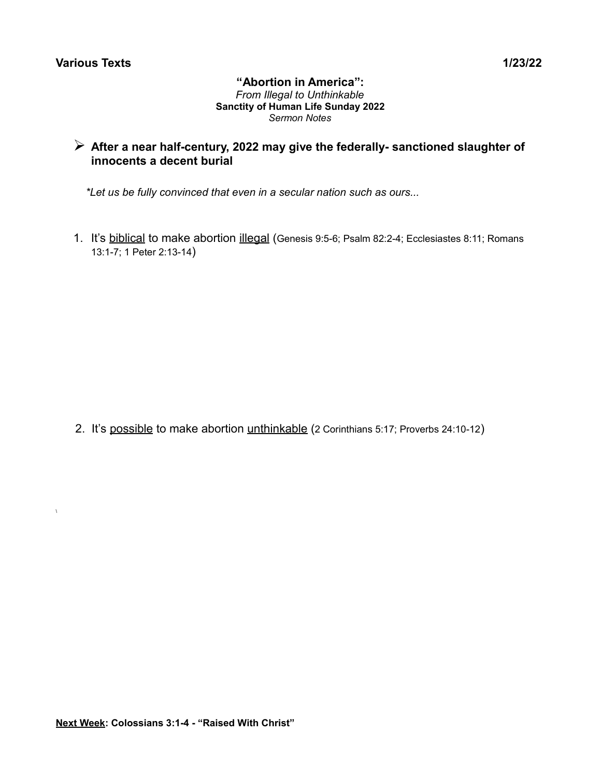$\chi$ 

#### **"Abortion in America":** *From Illegal to Unthinkable* **Sanctity of Human Life Sunday 2022** *Sermon Notes*

# ➢ **After a near half-century, 2022 may give the federally- sanctioned slaughter of innocents a decent burial**

 *\*Let us be fully convinced that even in a secular nation such as ours...*

1. It's biblical to make abortion illegal (Genesis 9:5-6; Psalm 82:2-4; Ecclesiastes 8:11; Romans 13:1-7; 1 Peter 2:13-14)

2. It's possible to make abortion unthinkable (2 Corinthians 5:17; Proverbs 24:10-12)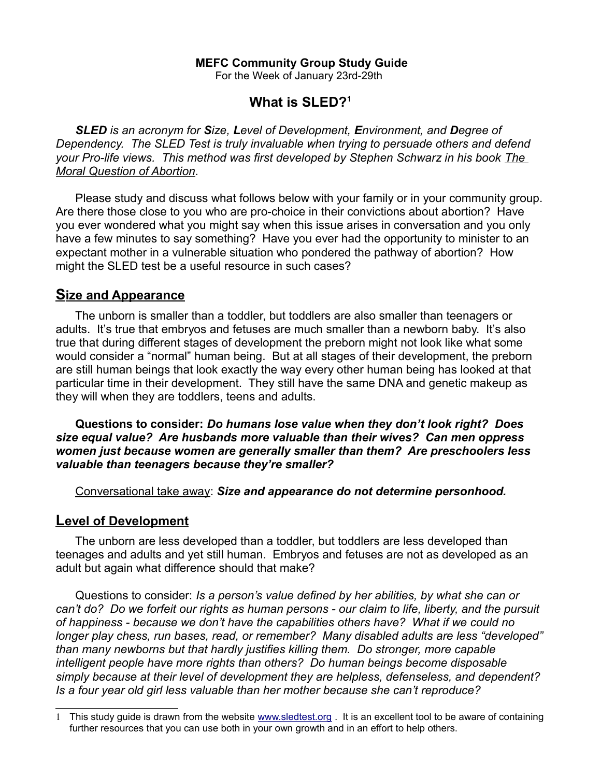### **MEFC Community Group Study Guide**

For the Week of January 23rd-29th

# **What is SLED?[1](#page-1-0)**

 *SLED is an acronym for Size, Level of Development, Environment, and Degree of Dependency. The SLED Test is truly invaluable when trying to persuade others and defend your Pro-life views. This method was first developed by Stephen Schwarz in his book The Moral Question of Abortion.* 

 Please study and discuss what follows below with your family or in your community group. Are there those close to you who are pro-choice in their convictions about abortion? Have you ever wondered what you might say when this issue arises in conversation and you only have a few minutes to say something? Have you ever had the opportunity to minister to an expectant mother in a vulnerable situation who pondered the pathway of abortion? How might the SLED test be a useful resource in such cases?

## **Size and Appearance**

 The unborn is smaller than a toddler, but toddlers are also smaller than teenagers or adults. It's true that embryos and fetuses are much smaller than a newborn baby. It's also true that during different stages of development the preborn might not look like what some would consider a "normal" human being. But at all stages of their development, the preborn are still human beings that look exactly the way every other human being has looked at that particular time in their development. They still have the same DNA and genetic makeup as they will when they are toddlers, teens and adults.

 **Questions to consider:** *Do humans lose value when they don't look right? Does size equal value? Are husbands more valuable than their wives? Can men oppress women just because women are generally smaller than them? Are preschoolers less valuable than teenagers because they're smaller?* 

Conversational take away: *Size and appearance do not determine personhood.*

### **Level of Development**

 The unborn are less developed than a toddler, but toddlers are less developed than teenages and adults and yet still human. Embryos and fetuses are not as developed as an adult but again what difference should that make?

 Questions to consider: *Is a person's value defined by her abilities, by what she can or can't do? Do we forfeit our rights as human persons - our claim to life, liberty, and the pursuit of happiness - because we don't have the capabilities others have? What if we could no longer play chess, run bases, read, or remember? Many disabled adults are less "developed" than many newborns but that hardly justifies killing them. Do stronger, more capable intelligent people have more rights than others? Do human beings become disposable simply because at their level of development they are helpless, defenseless, and dependent? Is a four year old girl less valuable than her mother because she can't reproduce?* 

<span id="page-1-0"></span><sup>1</sup> This study guide is drawn from the website [www.sledtest.org](http://www.sledtest.org/) . It is an excellent tool to be aware of containing further resources that you can use both in your own growth and in an effort to help others.